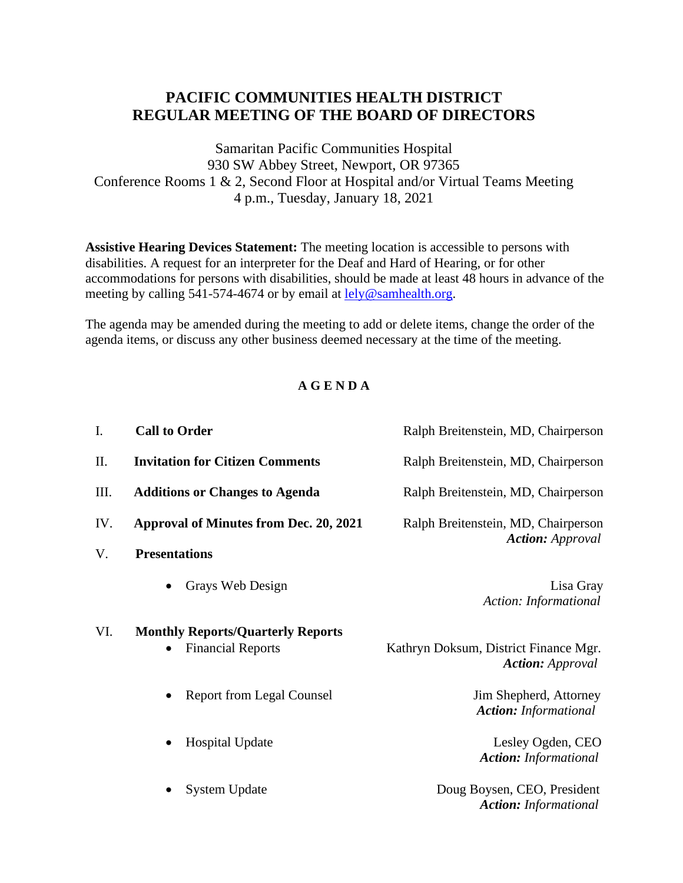## **PACIFIC COMMUNITIES HEALTH DISTRICT REGULAR MEETING OF THE BOARD OF DIRECTORS**

Samaritan Pacific Communities Hospital 930 SW Abbey Street, Newport, OR 97365 Conference Rooms 1 & 2, Second Floor at Hospital and/or Virtual Teams Meeting 4 p.m., Tuesday, January 18, 2021

**Assistive Hearing Devices Statement:** The meeting location is accessible to persons with disabilities. A request for an interpreter for the Deaf and Hard of Hearing, or for other accommodations for persons with disabilities, should be made at least 48 hours in advance of the meeting by calling 541-574-4674 or by email at [lely@samhealth.org.](mailto:lely@samhealth.org)

The agenda may be amended during the meeting to add or delete items, change the order of the agenda items, or discuss any other business deemed necessary at the time of the meeting.

## **A G E N D A**

| $I_{\cdot}$ | <b>Call to Order</b>                          | Ralph Breitenstein, MD, Chairperson                              |
|-------------|-----------------------------------------------|------------------------------------------------------------------|
| II.         | <b>Invitation for Citizen Comments</b>        | Ralph Breitenstein, MD, Chairperson                              |
| Ш.          | <b>Additions or Changes to Agenda</b>         | Ralph Breitenstein, MD, Chairperson                              |
| IV.         | <b>Approval of Minutes from Dec. 20, 2021</b> | Ralph Breitenstein, MD, Chairperson                              |
| V.          | <b>Presentations</b>                          | <b>Action:</b> Approval                                          |
|             | Grays Web Design                              | Lisa Gray<br>Action: Informational                               |
| VI.         | <b>Monthly Reports/Quarterly Reports</b>      |                                                                  |
|             | <b>Financial Reports</b>                      | Kathryn Doksum, District Finance Mgr.<br><b>Action:</b> Approval |
|             | <b>Report from Legal Counsel</b><br>$\bullet$ | Jim Shepherd, Attorney<br><b>Action:</b> Informational           |
|             | <b>Hospital Update</b>                        | Lesley Ogden, CEO<br><b>Action:</b> Informational                |
|             | <b>System Update</b>                          | Doug Boysen, CEO, President<br><b>Action:</b> Informational      |